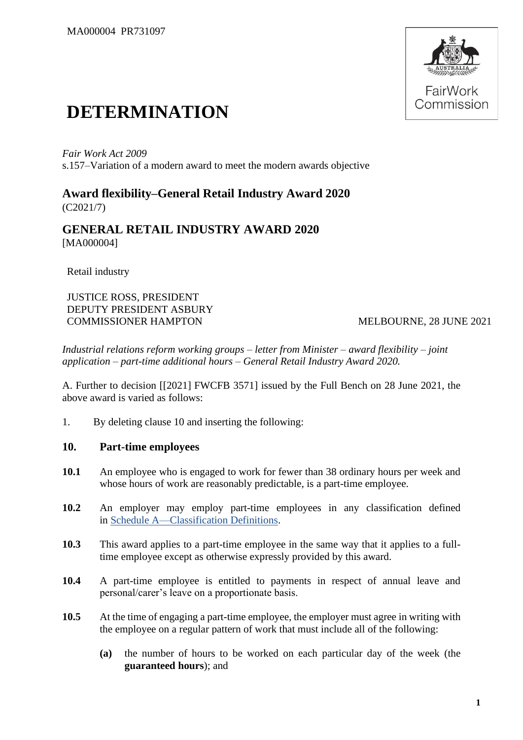

# **DETERMINATION**

*Fair Work Act 2009* s.157–Variation of a modern award to meet the modern awards objective

**Award flexibility–General Retail Industry Award 2020** (C2021/7)

**GENERAL RETAIL INDUSTRY AWARD 2020** [MA000004]

Retail industry

JUSTICE ROSS, PRESIDENT DEPUTY PRESIDENT ASBURY COMMISSIONER HAMPTON MELBOURNE, 28 JUNE 2021

*Industrial relations reform working groups – letter from Minister – award flexibility – joint application – part-time additional hours – General Retail Industry Award 2020.*

A. Further to decision [[2021] FWCFB 3571] issued by the Full Bench on 28 June 2021, the above award is varied as follows:

1. By deleting clause 10 and inserting the following:

## **10. Part-time employees**

- **10.1** An employee who is engaged to work for fewer than 38 ordinary hours per week and whose hours of work are reasonably predictable, is a part-time employee.
- **10.2** An employer may employ part-time employees in any classification defined in [Schedule A—Classification Definitions.](https://www.fwc.gov.au/documents/documents/modern_awards/award/ma000004/ma000004-48.htm#P1169_98451)
- **10.3** This award applies to a part-time employee in the same way that it applies to a fulltime employee except as otherwise expressly provided by this award.
- **10.4** A part-time employee is entitled to payments in respect of annual leave and personal/carer's leave on a proportionate basis.
- **10.5** At the time of engaging a part-time employee, the employer must agree in writing with the employee on a regular pattern of work that must include all of the following:
	- **(a)** the number of hours to be worked on each particular day of the week (the **guaranteed hours**); and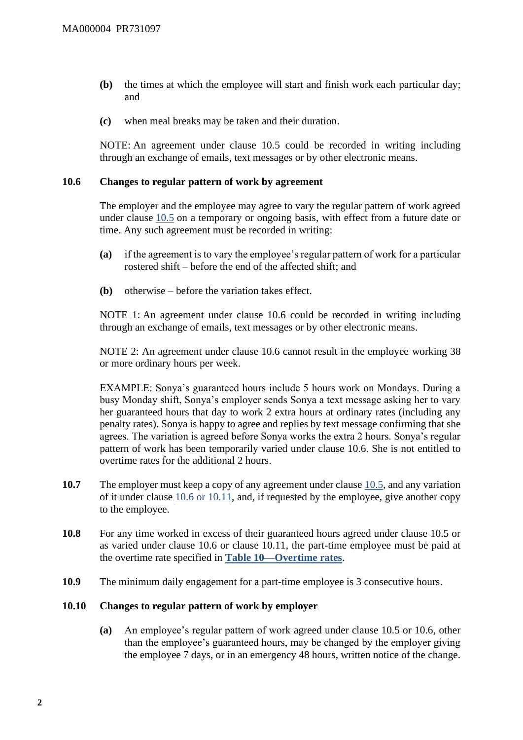- **(b)** the times at which the employee will start and finish work each particular day; and
- **(c)** when meal breaks may be taken and their duration.

NOTE: An agreement under clause 10.5 could be recorded in writing including through an exchange of emails, text messages or by other electronic means.

#### **10.6 Changes to regular pattern of work by agreement**

The employer and the employee may agree to vary the regular pattern of work agreed under clause [10.5](https://www.fwc.gov.au/documents/documents/modern_awards/award/ma000004/ma000004-12.htm#P320_21583) on a temporary or ongoing basis, with effect from a future date or time. Any such agreement must be recorded in writing:

- **(a)** if the agreement is to vary the employee's regular pattern of work for a particular rostered shift – before the end of the affected shift; and
- **(b)** otherwise before the variation takes effect.

NOTE 1: An agreement under clause 10.6 could be recorded in writing including through an exchange of emails, text messages or by other electronic means.

NOTE 2: An agreement under clause 10.6 cannot result in the employee working 38 or more ordinary hours per week.

EXAMPLE: Sonya's guaranteed hours include 5 hours work on Mondays. During a busy Monday shift, Sonya's employer sends Sonya a text message asking her to vary her guaranteed hours that day to work 2 extra hours at ordinary rates (including any penalty rates). Sonya is happy to agree and replies by text message confirming that she agrees. The variation is agreed before Sonya works the extra 2 hours. Sonya's regular pattern of work has been temporarily varied under clause 10.6. She is not entitled to overtime rates for the additional 2 hours.

- **10.7** The employer must keep a copy of any agreement under clause [10.5,](https://www.fwc.gov.au/documents/documents/modern_awards/award/ma000004/ma000004-12.htm#P320_21583) and any variation of it under clause [10.6](https://www.fwc.gov.au/documents/documents/modern_awards/award/ma000004/ma000004-12.htm#P325_21990) or 10.11, and, if requested by the employee, give another copy to the employee.
- **10.8** For any time worked in excess of their guaranteed hours agreed under clause 10.5 or as varied under clause 10.6 or clause 10.11, the part-time employee must be paid at the overtime rate specified in **[Table 10—Overtime rates](https://www.fwc.gov.au/documents/documents/modern_awards/award/ma000004/ma000004-26.htm#P845_66890)**.
- **10.9** The minimum daily engagement for a part-time employee is 3 consecutive hours.

#### **10.10 Changes to regular pattern of work by employer**

**(a)** An employee's regular pattern of work agreed under clause 10.5 or 10.6, other than the employee's guaranteed hours, may be changed by the employer giving the employee 7 days, or in an emergency 48 hours, written notice of the change.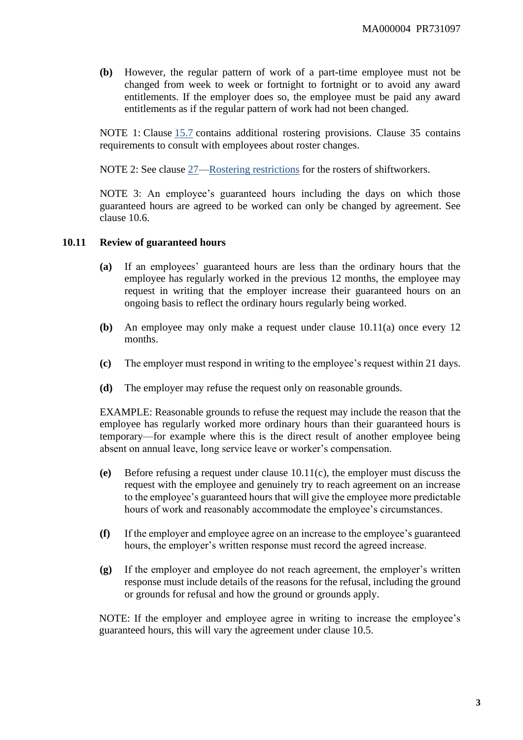**(b)** However, the regular pattern of work of a part-time employee must not be changed from week to week or fortnight to fortnight or to avoid any award entitlements. If the employer does so, the employee must be paid any award entitlements as if the regular pattern of work had not been changed.

NOTE 1: Clause [15.7](https://www.fwc.gov.au/documents/documents/modern_awards/award/ma000004/ma000004-18.htm#P470_38037) contains additional rostering provisions. Clause 35 contains requirements to consult with employees about roster changes.

NOTE 2: See clause [27—Rostering restrictions](https://www.fwc.gov.au/documents/documents/modern_awards/award/ma000004/ma000004-33.htm#P959_75619) for the rosters of shiftworkers.

NOTE 3: An employee's guaranteed hours including the days on which those guaranteed hours are agreed to be worked can only be changed by agreement. See clause 10.6.

#### **10.11 Review of guaranteed hours**

- **(a)** If an employees' guaranteed hours are less than the ordinary hours that the employee has regularly worked in the previous 12 months, the employee may request in writing that the employer increase their guaranteed hours on an ongoing basis to reflect the ordinary hours regularly being worked.
- **(b)** An employee may only make a request under clause 10.11(a) once every 12 months.
- **(c)** The employer must respond in writing to the employee's request within 21 days.
- **(d)** The employer may refuse the request only on reasonable grounds.

EXAMPLE: Reasonable grounds to refuse the request may include the reason that the employee has regularly worked more ordinary hours than their guaranteed hours is temporary—for example where this is the direct result of another employee being absent on annual leave, long service leave or worker's compensation.

- **(e)** Before refusing a request under clause 10.11(c), the employer must discuss the request with the employee and genuinely try to reach agreement on an increase to the employee's guaranteed hours that will give the employee more predictable hours of work and reasonably accommodate the employee's circumstances.
- **(f)** If the employer and employee agree on an increase to the employee's guaranteed hours, the employer's written response must record the agreed increase.
- **(g)** If the employer and employee do not reach agreement, the employer's written response must include details of the reasons for the refusal, including the ground or grounds for refusal and how the ground or grounds apply.

NOTE: If the employer and employee agree in writing to increase the employee's guaranteed hours, this will vary the agreement under clause 10.5.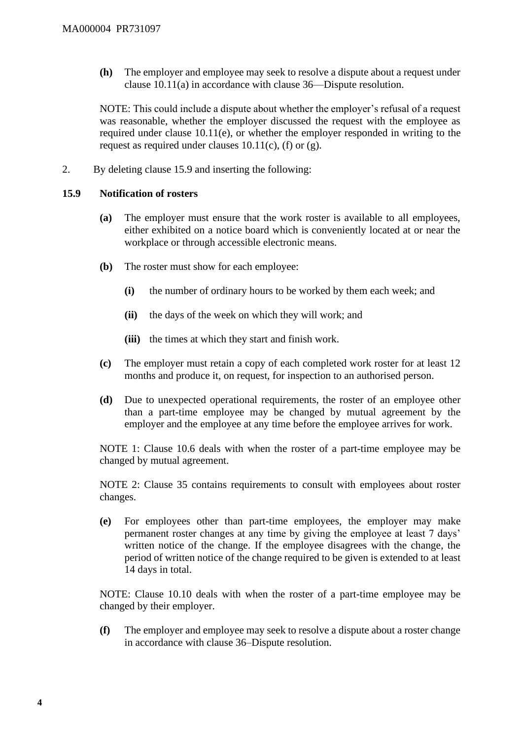**(h)** The employer and employee may seek to resolve a dispute about a request under clause 10.11(a) in accordance with clause 36—Dispute resolution.

NOTE: This could include a dispute about whether the employer's refusal of a request was reasonable, whether the employer discussed the request with the employee as required under clause 10.11(e), or whether the employer responded in writing to the request as required under clauses  $10.11(c)$ , (f) or (g).

2. By deleting clause 15.9 and inserting the following:

### **15.9 Notification of rosters**

- **(a)** The employer must ensure that the work roster is available to all employees, either exhibited on a notice board which is conveniently located at or near the workplace or through accessible electronic means.
- **(b)** The roster must show for each employee:
	- **(i)** the number of ordinary hours to be worked by them each week; and
	- **(ii)** the days of the week on which they will work; and
	- **(iii)** the times at which they start and finish work.
- **(c)** The employer must retain a copy of each completed work roster for at least 12 months and produce it, on request, for inspection to an authorised person.
- **(d)** Due to unexpected operational requirements, the roster of an employee other than a part-time employee may be changed by mutual agreement by the employer and the employee at any time before the employee arrives for work.

NOTE 1: Clause 10.6 deals with when the roster of a part-time employee may be changed by mutual agreement.

NOTE 2: Clause 35 contains requirements to consult with employees about roster changes.

**(e)** For employees other than part-time employees, the employer may make permanent roster changes at any time by giving the employee at least 7 days' written notice of the change. If the employee disagrees with the change, the period of written notice of the change required to be given is extended to at least 14 days in total.

NOTE: Clause 10.10 deals with when the roster of a part-time employee may be changed by their employer.

**(f)** The employer and employee may seek to resolve a dispute about a roster change in accordance with clause 36–Dispute resolution.